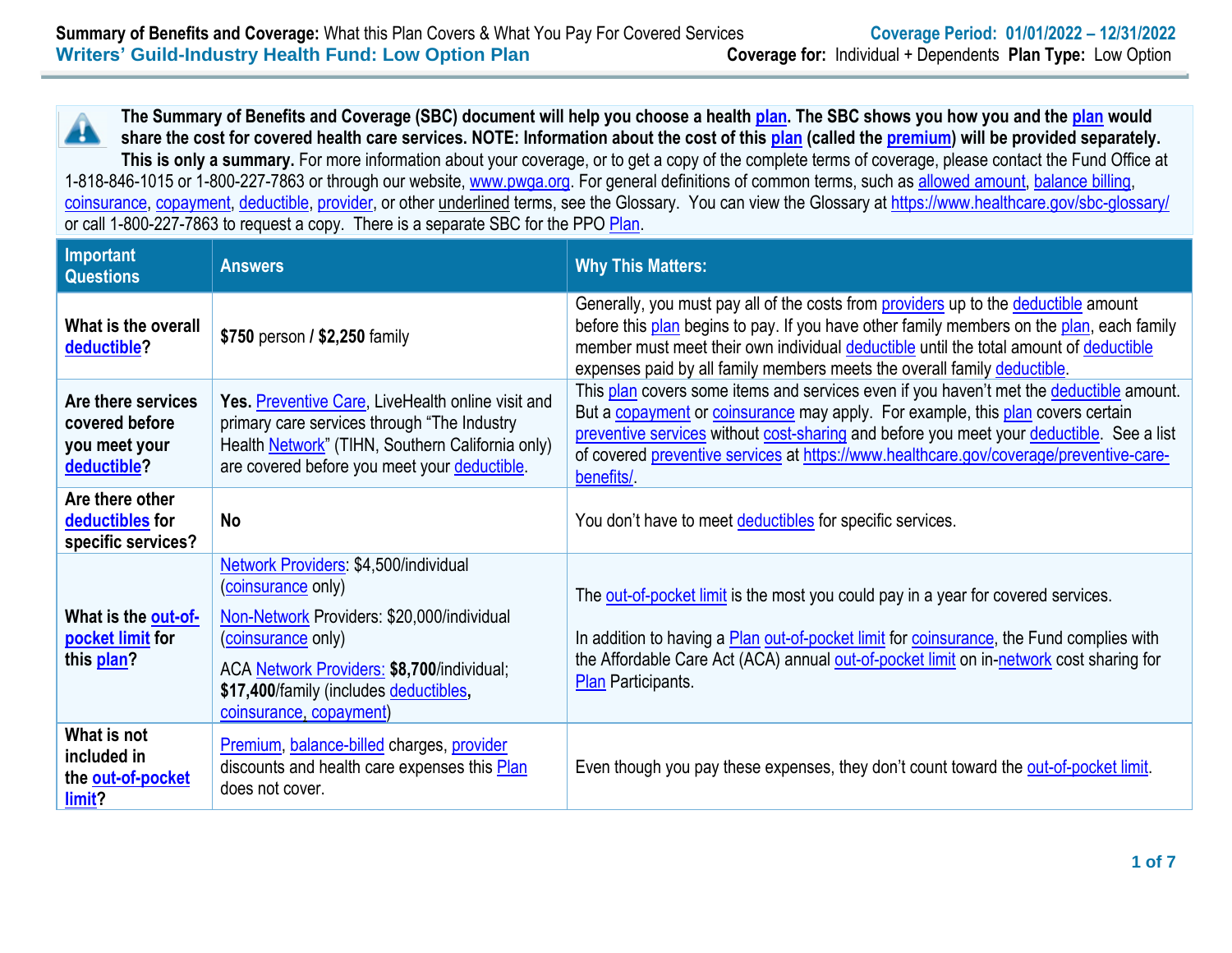**The Summary of Benefits and Coverage (SBC) document will help you choose a health [plan.](https://www.healthcare.gov/sbc-glossary/#plan) The SBC shows you how you and the [plan](https://www.healthcare.gov/sbc-glossary/#plan) would** A **share the cost for covered health care services. NOTE: Information about the cost of this [plan](https://www.healthcare.gov/sbc-glossary/#plan) (called the [premium\)](https://www.healthcare.gov/sbc-glossary/#premium) will be provided separately. This is only a summary.** For more information about your coverage, or to get a copy of the complete terms of coverage, please contact the Fund Office at 1-818-846-1015 or 1-800-227-7863 or through our website, [www.pwga.org.](http://www.pwga.org/) For general definitions of common terms, such as [allowed amount,](https://www.healthcare.gov/sbc-glossary/#allowed-amount) [balance billing,](https://www.healthcare.gov/sbc-glossary/#balance-billing)

[coinsurance,](https://www.healthcare.gov/sbc-glossary/#coinsurance) [copayment,](https://www.healthcare.gov/sbc-glossary/#copayment) [deductible,](https://www.healthcare.gov/sbc-glossary/#deductible) [provider,](https://www.healthcare.gov/sbc-glossary/#provider) or other underlined terms, see the Glossary. You can view the Glossary at<https://www.healthcare.gov/sbc-glossary/> or call 1-800-227-7863 to request a copy. There is a separate SBC for the PPO [Plan.](https://www.healthcare.gov/sbc-glossary/#plan)

| Important<br><b>Questions</b>                                        | <b>Answers</b>                                                                                                                                                                                                                                     | <b>Why This Matters:</b>                                                                                                                                                                                                                                                                                                                                                      |
|----------------------------------------------------------------------|----------------------------------------------------------------------------------------------------------------------------------------------------------------------------------------------------------------------------------------------------|-------------------------------------------------------------------------------------------------------------------------------------------------------------------------------------------------------------------------------------------------------------------------------------------------------------------------------------------------------------------------------|
| What is the overall<br>deductible?                                   | \$750 person / \$2,250 family                                                                                                                                                                                                                      | Generally, you must pay all of the costs from <b>providers</b> up to the deductible amount<br>before this plan begins to pay. If you have other family members on the plan, each family<br>member must meet their own individual deductible until the total amount of deductible<br>expenses paid by all family members meets the overall family deductible.                  |
| Are there services<br>covered before<br>you meet your<br>deductible? | Yes. Preventive Care, LiveHealth online visit and<br>primary care services through "The Industry<br>Health Network" (TIHN, Southern California only)<br>are covered before you meet your deductible.                                               | This plan covers some items and services even if you haven't met the deductible amount.<br>But a copayment or coinsurance may apply. For example, this plan covers certain<br>preventive services without cost-sharing and before you meet your deductible. See a list<br>of covered preventive services at https://www.healthcare.gov/coverage/preventive-care-<br>benefits/ |
| Are there other<br>deductibles for<br>specific services?             | <b>No</b>                                                                                                                                                                                                                                          | You don't have to meet deductibles for specific services.                                                                                                                                                                                                                                                                                                                     |
| What is the out-of-<br>pocket limit for<br>this plan?                | Network Providers: \$4,500/individual<br>(coinsurance only)<br>Non-Network Providers: \$20,000/individual<br>(coinsurance only)<br>ACA Network Providers: \$8,700/individual;<br>\$17,400/family (includes deductibles,<br>coinsurance, copayment) | The out-of-pocket limit is the most you could pay in a year for covered services.<br>In addition to having a <b>Plan out-of-pocket limit for coinsurance</b> , the Fund complies with<br>the Affordable Care Act (ACA) annual out-of-pocket limit on in-network cost sharing for<br>Plan Participants.                                                                        |
| What is not<br>included in<br>the out-of-pocket<br>limit?            | Premium, balance-billed charges, provider<br>discounts and health care expenses this Plan<br>does not cover.                                                                                                                                       | Even though you pay these expenses, they don't count toward the out-of-pocket limit.                                                                                                                                                                                                                                                                                          |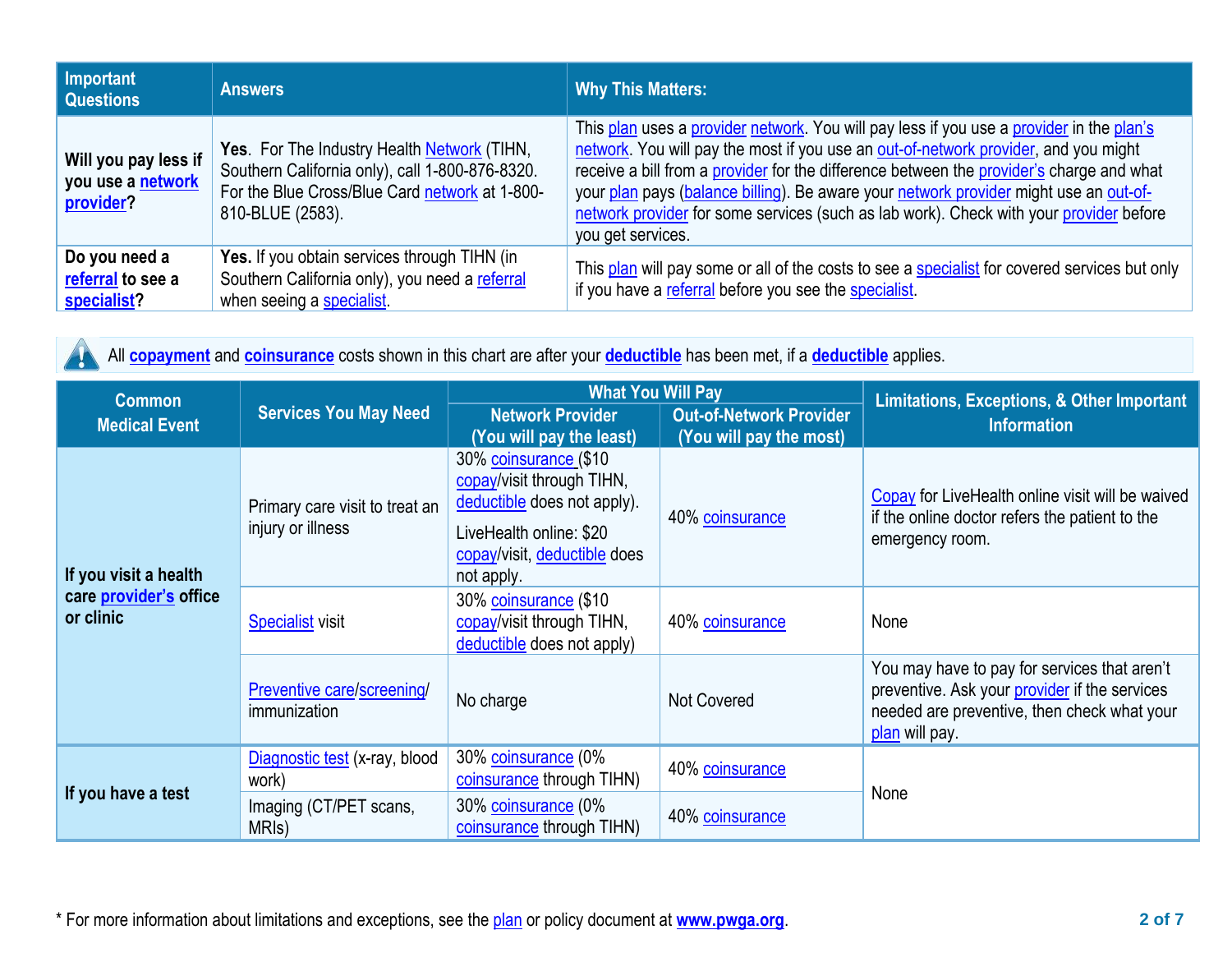| Important<br><b>Questions</b>                          | <b>Answers</b>                                                                                                                                                       | <b>Why This Matters:</b>                                                                                                                                                                                                                                                                                                                                                                                                                                                            |
|--------------------------------------------------------|----------------------------------------------------------------------------------------------------------------------------------------------------------------------|-------------------------------------------------------------------------------------------------------------------------------------------------------------------------------------------------------------------------------------------------------------------------------------------------------------------------------------------------------------------------------------------------------------------------------------------------------------------------------------|
| Will you pay less if<br>you use a network<br>provider? | Yes. For The Industry Health Network (TIHN,<br>Southern California only), call 1-800-876-8320.<br>For the Blue Cross/Blue Card network at 1-800-<br>810-BLUE (2583). | This plan uses a provider network. You will pay less if you use a provider in the plan's<br>network. You will pay the most if you use an out-of-network provider, and you might<br>receive a bill from a provider for the difference between the provider's charge and what<br>your plan pays (balance billing). Be aware your network provider might use an out-of-<br>network provider for some services (such as lab work). Check with your provider before<br>you get services. |
| Do you need a<br>referral to see a<br>specialist?      | Yes. If you obtain services through TIHN (in<br>Southern California only), you need a referral<br>when seeing a specialist                                           | This plan will pay some or all of the costs to see a specialist for covered services but only<br>if you have a referral before you see the specialist.                                                                                                                                                                                                                                                                                                                              |

**A** 

All **[copayment](https://www.healthcare.gov/sbc-glossary/#copayment)** and **[coinsurance](https://www.healthcare.gov/sbc-glossary/#coinsurance)** costs shown in this chart are after your **[deductible](https://www.healthcare.gov/sbc-glossary/#deductible)** has been met, if a **[deductible](https://www.healthcare.gov/sbc-glossary/#deductible)** applies.

| <b>Common</b>                       |                                                     | <b>What You Will Pay</b>                                                                                                                                   |                    | Limitations, Exceptions, & Other Important                                                                                                                     |
|-------------------------------------|-----------------------------------------------------|------------------------------------------------------------------------------------------------------------------------------------------------------------|--------------------|----------------------------------------------------------------------------------------------------------------------------------------------------------------|
| <b>Medical Event</b>                | <b>Services You May Need</b>                        | <b>Network Provider</b><br><b>Out-of-Network Provider</b><br>(You will pay the most)<br>(You will pay the least)                                           |                    | <b>Information</b>                                                                                                                                             |
| If you visit a health               | Primary care visit to treat an<br>injury or illness | 30% coinsurance (\$10<br>copay/visit through TIHN,<br>deductible does not apply).<br>LiveHealth online: \$20<br>copay/visit, deductible does<br>not apply. | 40% coinsurance    | Copay for LiveHealth online visit will be waived<br>if the online doctor refers the patient to the<br>emergency room.                                          |
| care provider's office<br>or clinic | <b>Specialist</b> visit                             | 30% coinsurance (\$10<br>copay/visit through TIHN,<br>deductible does not apply)                                                                           | 40% coinsurance    | None                                                                                                                                                           |
|                                     | Preventive care/screening/<br>immunization          | No charge                                                                                                                                                  | <b>Not Covered</b> | You may have to pay for services that aren't<br>preventive. Ask your provider if the services<br>needed are preventive, then check what your<br>plan will pay. |
|                                     | Diagnostic test (x-ray, blood<br>work)              | 30% coinsurance (0%<br>coinsurance through TIHN)                                                                                                           | 40% coinsurance    |                                                                                                                                                                |
| If you have a test                  | Imaging (CT/PET scans,<br>MRI <sub>s</sub> )        | 30% coinsurance (0%<br>coinsurance through TIHN)                                                                                                           | 40% coinsurance    | None                                                                                                                                                           |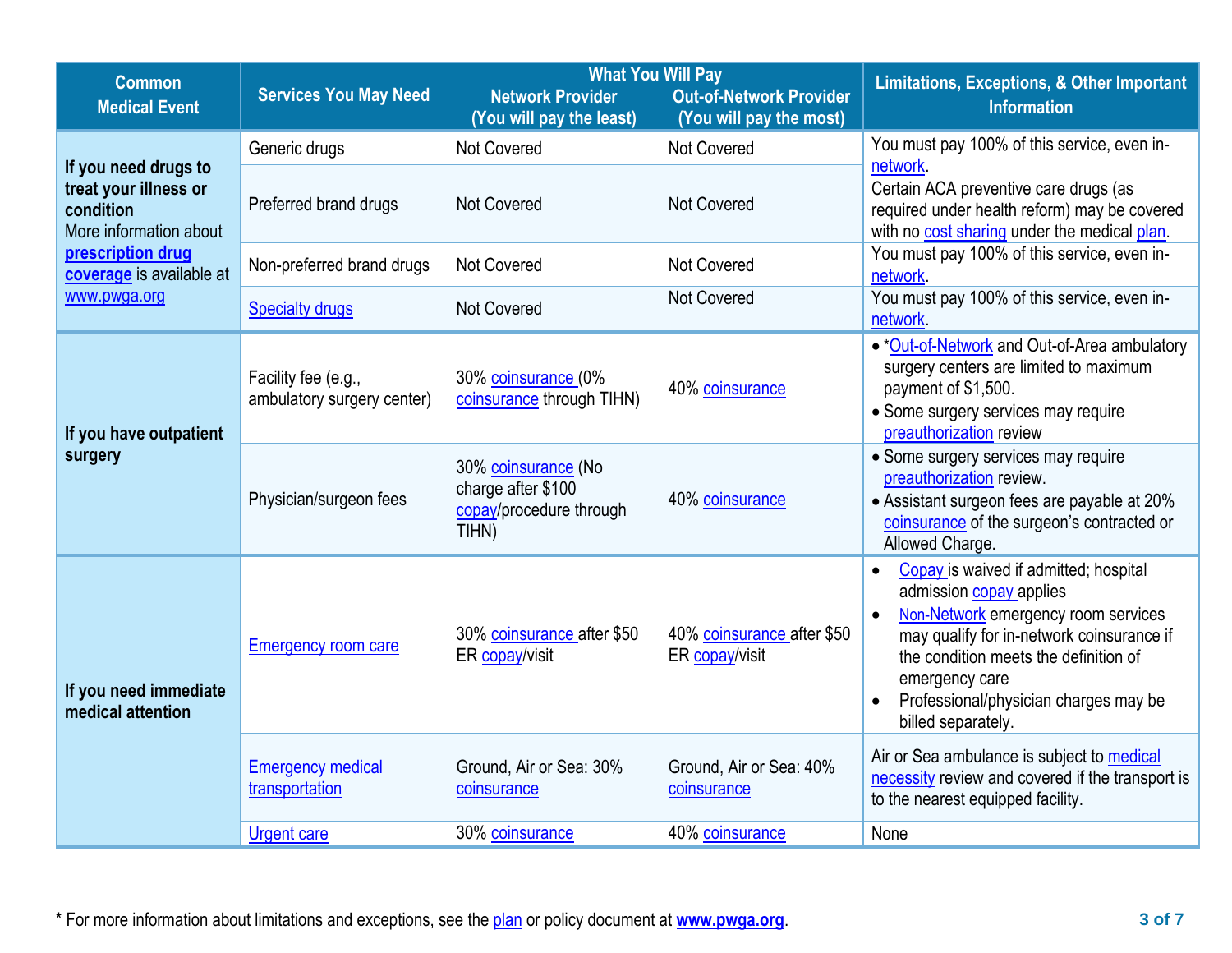| <b>Common</b>                                                                        |                                                   | <b>What You Will Pay</b>                                                      |                                              | <b>Limitations, Exceptions, &amp; Other Important</b><br><b>Information</b>                                                                                                                                                                                                                 |  |
|--------------------------------------------------------------------------------------|---------------------------------------------------|-------------------------------------------------------------------------------|----------------------------------------------|---------------------------------------------------------------------------------------------------------------------------------------------------------------------------------------------------------------------------------------------------------------------------------------------|--|
| <b>Medical Event</b>                                                                 | <b>Services You May Need</b>                      | <b>Network Provider</b>                                                       | <b>Out-of-Network Provider</b>               |                                                                                                                                                                                                                                                                                             |  |
|                                                                                      |                                                   | (You will pay the least)                                                      | (You will pay the most)                      |                                                                                                                                                                                                                                                                                             |  |
|                                                                                      | Generic drugs                                     | <b>Not Covered</b>                                                            | <b>Not Covered</b>                           | You must pay 100% of this service, even in-<br>network                                                                                                                                                                                                                                      |  |
| If you need drugs to<br>treat your illness or<br>condition<br>More information about | Preferred brand drugs                             | Not Covered<br><b>Not Covered</b>                                             |                                              | Certain ACA preventive care drugs (as<br>required under health reform) may be covered<br>with no cost sharing under the medical plan.                                                                                                                                                       |  |
| prescription drug<br>coverage is available at                                        | Non-preferred brand drugs                         | <b>Not Covered</b>                                                            | Not Covered                                  | You must pay 100% of this service, even in-<br>network.                                                                                                                                                                                                                                     |  |
| www.pwga.org                                                                         | <b>Specialty drugs</b>                            | <b>Not Covered</b>                                                            | <b>Not Covered</b>                           | You must pay 100% of this service, even in-<br>network                                                                                                                                                                                                                                      |  |
| If you have outpatient                                                               | Facility fee (e.g.,<br>ambulatory surgery center) | 30% coinsurance (0%<br>coinsurance through TIHN)                              | 40% coinsurance                              | . * Out-of-Network and Out-of-Area ambulatory<br>surgery centers are limited to maximum<br>payment of \$1,500.<br>• Some surgery services may require<br>preauthorization review                                                                                                            |  |
| surgery                                                                              | Physician/surgeon fees                            | 30% coinsurance (No<br>charge after \$100<br>copay/procedure through<br>TIHN) | 40% coinsurance                              | • Some surgery services may require<br>preauthorization review.<br>• Assistant surgeon fees are payable at 20%<br>coinsurance of the surgeon's contracted or<br>Allowed Charge.                                                                                                             |  |
| If you need immediate<br>medical attention                                           | <b>Emergency room care</b>                        | 30% coinsurance after \$50<br>ER copay/visit                                  | 40% coinsurance after \$50<br>ER copay/visit | Copay is waived if admitted; hospital<br>$\bullet$<br>admission copay applies<br>Non-Network emergency room services<br>may qualify for in-network coinsurance if<br>the condition meets the definition of<br>emergency care<br>Professional/physician charges may be<br>billed separately. |  |
|                                                                                      | <b>Emergency medical</b><br>transportation        | Ground, Air or Sea: 30%<br>coinsurance                                        | Ground, Air or Sea: 40%<br>coinsurance       | Air or Sea ambulance is subject to medical<br>necessity review and covered if the transport is<br>to the nearest equipped facility.                                                                                                                                                         |  |
|                                                                                      | <b>Urgent care</b>                                | 30% coinsurance                                                               | 40% coinsurance                              | None                                                                                                                                                                                                                                                                                        |  |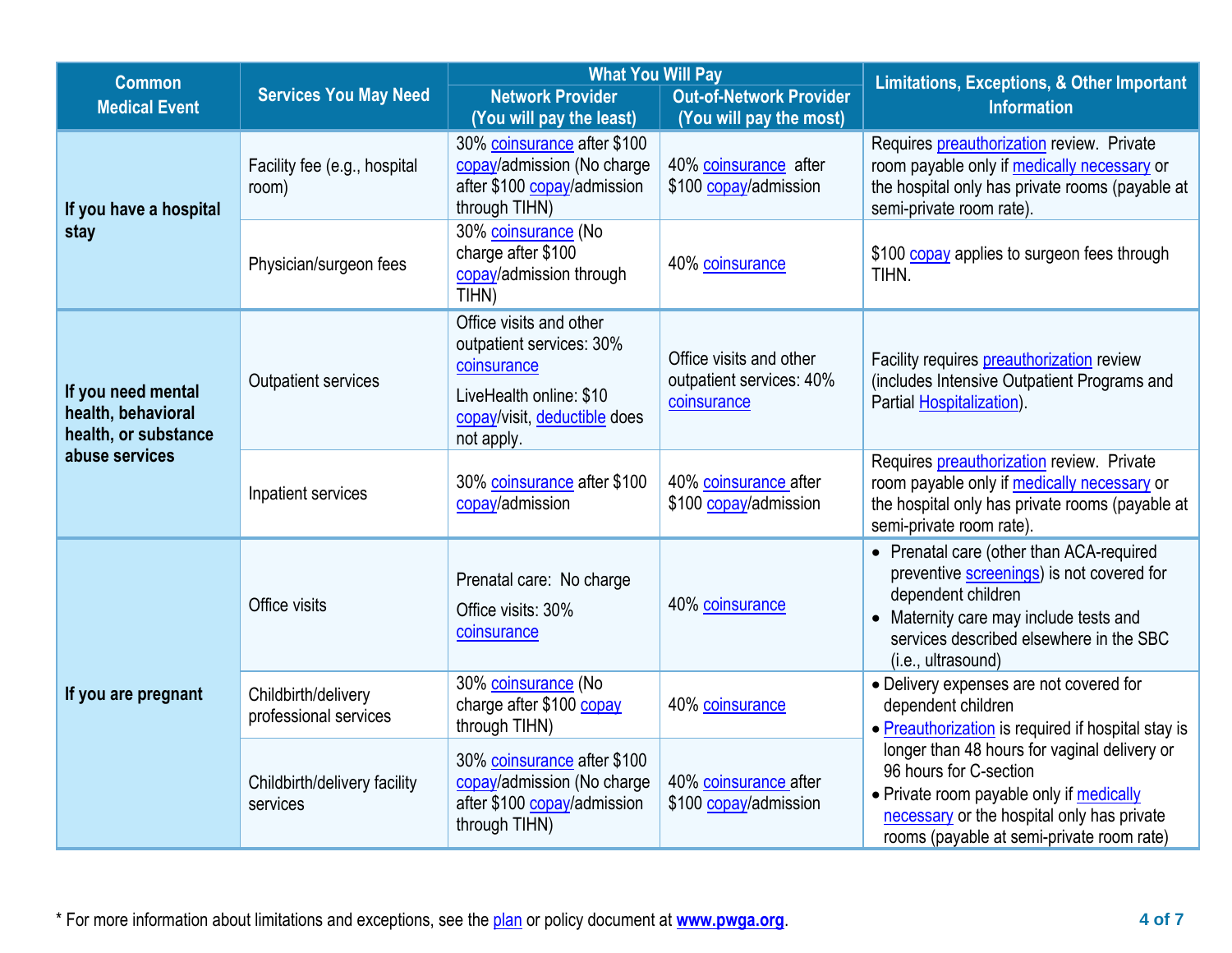| <b>Common</b>                                                                          |                                              | <b>What You Will Pay</b>                                                                                                                    |                                                                                                                                                                         | <b>Limitations, Exceptions, &amp; Other Important</b>                                                                                                                                                                  |  |
|----------------------------------------------------------------------------------------|----------------------------------------------|---------------------------------------------------------------------------------------------------------------------------------------------|-------------------------------------------------------------------------------------------------------------------------------------------------------------------------|------------------------------------------------------------------------------------------------------------------------------------------------------------------------------------------------------------------------|--|
| <b>Medical Event</b>                                                                   | <b>Services You May Need</b>                 | <b>Network Provider</b><br>(You will pay the least)                                                                                         | <b>Out-of-Network Provider</b><br>(You will pay the most)                                                                                                               | <b>Information</b>                                                                                                                                                                                                     |  |
| If you have a hospital                                                                 | Facility fee (e.g., hospital<br>room)        | 30% coinsurance after \$100<br>copay/admission (No charge<br>after \$100 copay/admission<br>through TIHN)                                   | 40% coinsurance after<br>\$100 copay/admission                                                                                                                          | Requires preauthorization review. Private<br>room payable only if medically necessary or<br>the hospital only has private rooms (payable at<br>semi-private room rate).                                                |  |
| stay                                                                                   | Physician/surgeon fees                       | 30% coinsurance (No<br>charge after \$100<br>copay/admission through<br>TIHN)                                                               | 40% coinsurance                                                                                                                                                         | \$100 copay applies to surgeon fees through<br>TIHN.                                                                                                                                                                   |  |
| If you need mental<br>health, behavioral<br>health, or substance                       | Outpatient services                          | Office visits and other<br>outpatient services: 30%<br>coinsurance<br>LiveHealth online: \$10<br>copay/visit, deductible does<br>not apply. | Office visits and other<br>outpatient services: 40%<br>coinsurance                                                                                                      | Facility requires <b>preauthorization</b> review<br>(includes Intensive Outpatient Programs and<br>Partial Hospitalization).                                                                                           |  |
| abuse services<br>30% coinsurance after \$100<br>Inpatient services<br>copay/admission |                                              | 40% coinsurance after<br>\$100 copay/admission                                                                                              | Requires preauthorization review. Private<br>room payable only if medically necessary or<br>the hospital only has private rooms (payable at<br>semi-private room rate). |                                                                                                                                                                                                                        |  |
|                                                                                        | Office visits                                | Prenatal care: No charge<br>Office visits: 30%<br>coinsurance                                                                               | 40% coinsurance                                                                                                                                                         | • Prenatal care (other than ACA-required<br>preventive screenings) is not covered for<br>dependent children<br>• Maternity care may include tests and<br>services described elsewhere in the SBC<br>(i.e., ultrasound) |  |
| If you are pregnant                                                                    | Childbirth/delivery<br>professional services | 30% coinsurance (No<br>charge after \$100 copay<br>through TIHN)                                                                            | 40% coinsurance                                                                                                                                                         | • Delivery expenses are not covered for<br>dependent children<br>• Preauthorization is required if hospital stay is                                                                                                    |  |
|                                                                                        | Childbirth/delivery facility<br>services     | 30% coinsurance after \$100<br>copay/admission (No charge<br>after \$100 copay/admission<br>through TIHN)                                   | 40% coinsurance after<br>\$100 copay/admission                                                                                                                          | longer than 48 hours for vaginal delivery or<br>96 hours for C-section<br>• Private room payable only if medically<br>necessary or the hospital only has private<br>rooms (payable at semi-private room rate)          |  |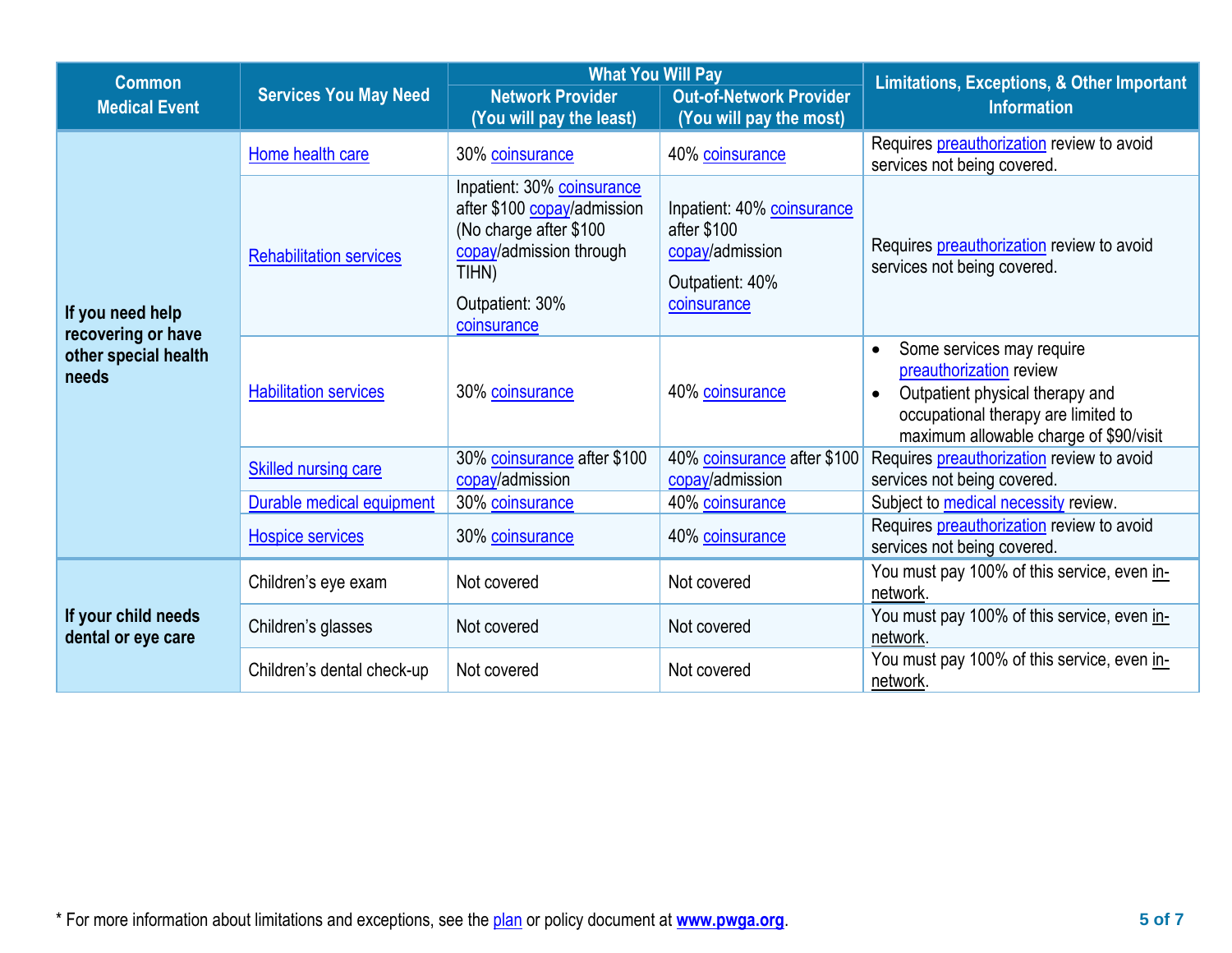| <b>Common</b>                             |                                | <b>What You Will Pay</b>                                                                                                                                  |                                                                                                | <b>Limitations, Exceptions, &amp; Other Important</b>                                                                                                                                              |  |  |
|-------------------------------------------|--------------------------------|-----------------------------------------------------------------------------------------------------------------------------------------------------------|------------------------------------------------------------------------------------------------|----------------------------------------------------------------------------------------------------------------------------------------------------------------------------------------------------|--|--|
| <b>Medical Event</b>                      | <b>Services You May Need</b>   | <b>Network Provider</b><br>(You will pay the least)                                                                                                       | <b>Out-of-Network Provider</b><br>(You will pay the most)                                      | <b>Information</b>                                                                                                                                                                                 |  |  |
|                                           | Home health care               | 30% coinsurance                                                                                                                                           | 40% coinsurance                                                                                | Requires <b>preauthorization</b> review to avoid<br>services not being covered.                                                                                                                    |  |  |
| If you need help<br>recovering or have    | <b>Rehabilitation services</b> | Inpatient: 30% coinsurance<br>after \$100 copay/admission<br>(No charge after \$100<br>copay/admission through<br>TIHN)<br>Outpatient: 30%<br>coinsurance | Inpatient: 40% coinsurance<br>after \$100<br>copay/admission<br>Outpatient: 40%<br>coinsurance | Requires <b>preauthorization</b> review to avoid<br>services not being covered.                                                                                                                    |  |  |
| other special health<br>needs             | <b>Habilitation services</b>   | 30% coinsurance                                                                                                                                           | 40% coinsurance                                                                                | Some services may require<br>$\bullet$<br>preauthorization review<br>Outpatient physical therapy and<br>$\bullet$<br>occupational therapy are limited to<br>maximum allowable charge of \$90/visit |  |  |
|                                           | <b>Skilled nursing care</b>    | 30% coinsurance after \$100<br>copay/admission                                                                                                            | 40% coinsurance after \$100<br>copay/admission                                                 | Requires preauthorization review to avoid<br>services not being covered.                                                                                                                           |  |  |
|                                           | Durable medical equipment      | 30% coinsurance                                                                                                                                           | 40% coinsurance                                                                                | Subject to <b>medical necessity</b> review.                                                                                                                                                        |  |  |
|                                           | <b>Hospice services</b>        | 30% coinsurance                                                                                                                                           | 40% coinsurance                                                                                | Requires <b>preauthorization</b> review to avoid<br>services not being covered.                                                                                                                    |  |  |
|                                           | Children's eye exam            | Not covered                                                                                                                                               | Not covered                                                                                    | You must pay 100% of this service, even in-<br>network.                                                                                                                                            |  |  |
| If your child needs<br>dental or eye care | Children's glasses             | Not covered                                                                                                                                               | Not covered                                                                                    | You must pay 100% of this service, even in-<br>network.                                                                                                                                            |  |  |
|                                           | Children's dental check-up     | Not covered                                                                                                                                               | Not covered                                                                                    | You must pay 100% of this service, even in-<br>network.                                                                                                                                            |  |  |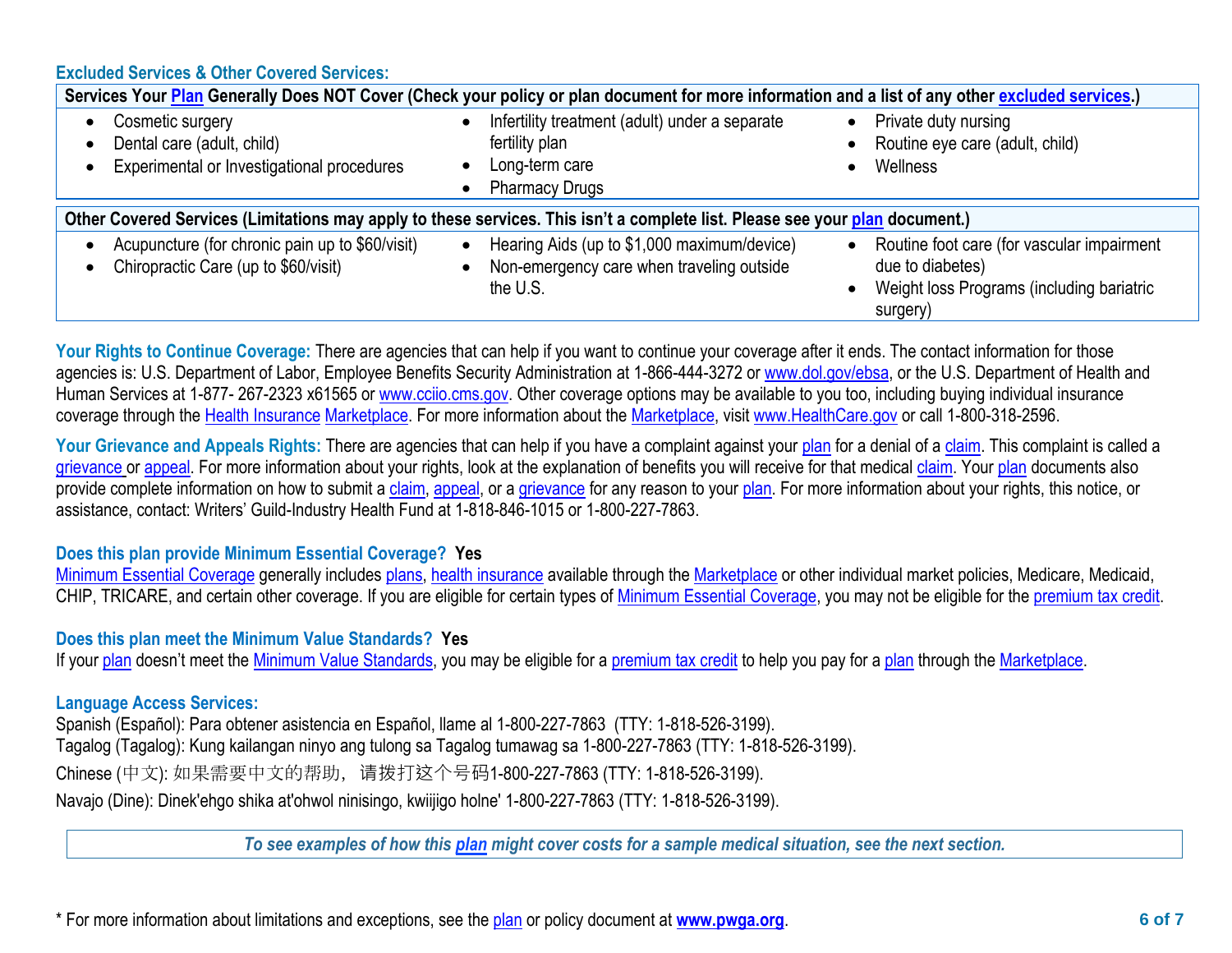**Excluded Services & Other Covered Services:**

|                                                                                              | Services Your Plan Generally Does NOT Cover (Check your policy or plan document for more information and a list of any other excluded services.) |                                                                                                                         |
|----------------------------------------------------------------------------------------------|--------------------------------------------------------------------------------------------------------------------------------------------------|-------------------------------------------------------------------------------------------------------------------------|
| Cosmetic surgery<br>Dental care (adult, child)<br>Experimental or Investigational procedures | Infertility treatment (adult) under a separate<br>fertility plan<br>Long-term care<br><b>Pharmacy Drugs</b>                                      | Private duty nursing<br>Routine eye care (adult, child)<br>Wellness                                                     |
|                                                                                              | Other Covered Services (Limitations may apply to these services. This isn't a complete list. Please see your plan document.)                     |                                                                                                                         |
| Acupuncture (for chronic pain up to \$60/visit)<br>Chiropractic Care (up to \$60/visit)      | Hearing Aids (up to \$1,000 maximum/device)<br>$\bullet$<br>Non-emergency care when traveling outside<br>the U.S.                                | Routine foot care (for vascular impairment<br>due to diabetes)<br>Weight loss Programs (including bariatric<br>surgery) |

Your Rights to Continue Coverage: There are agencies that can help if you want to continue your coverage after it ends. The contact information for those agencies is: U.S. Department of Labor, Employee Benefits Security Administration at 1-866-444-3272 or [www.dol.gov/ebsa,](http://www.dol.gov/ebsa) or the U.S. Department of Health and Human Services at 1-877-267-2323 x61565 or [www.cciio.cms.gov.](http://www.cciio.cms.gov/) Other coverage options may be available to you too, including buying individual insurance coverage through the [Health Insurance](https://www.healthcare.gov/sbc-glossary/#health-insurance) [Marketplace.](https://www.healthcare.gov/sbc-glossary/#marketplace) For more information about the [Marketplace,](https://www.healthcare.gov/sbc-glossary/#marketplace) visit [www.HealthCare.gov](http://www.healthcare.gov/) or call 1-800-318-2596.

Your Grievance and Appeals Rights: There are agencies that can help if you have a complaint against your [plan](https://www.healthcare.gov/sbc-glossary/#plan) for a denial of a [claim.](https://www.healthcare.gov/sbc-glossary/#claim) This complaint is called a [grievance](https://www.healthcare.gov/sbc-glossary/#grievance) or [appeal.](https://www.healthcare.gov/sbc-glossary/#appeal) For more information about your rights, look at the explanation of benefits you will receive for that medical [claim.](https://www.healthcare.gov/sbc-glossary/#claim) Your [plan](https://www.healthcare.gov/sbc-glossary/#plan) documents also provide complete information on how to submit a [claim,](https://www.healthcare.gov/sbc-glossary/#claim) [appeal,](https://www.healthcare.gov/sbc-glossary/#appeal) or a [grievance](https://www.healthcare.gov/sbc-glossary/#grievance) for any reason to your [plan.](https://www.healthcare.gov/sbc-glossary/#plan) For more information about your rights, this notice, or assistance, contact: Writers' Guild-Industry Health Fund at 1-818-846-1015 or 1-800-227-7863.

### **Does this plan provide Minimum Essential Coverage? Yes**

[Minimum Essential Coverage](https://www.healthcare.gov/sbc-glossary/#minimum-essential-coverage) generally includes [plans,](https://www.healthcare.gov/sbc-glossary/#plan) [health insurance](https://www.healthcare.gov/sbc-glossary/#health-insurance) available through the [Marketplace](https://www.healthcare.gov/sbc-glossary/#marketplace) or other individual market policies, Medicare, Medicaid, CHIP, TRICARE, and certain other coverage. If you are eligible for certain types of [Minimum Essential Coverage,](https://www.healthcare.gov/sbc-glossary/#minimum-essential-coverage) you may not be eligible for the [premium tax credit.](https://www.healthcare.gov/sbc-glossary/#premium-tax-credits)

### **Does this plan meet the Minimum Value Standards? Yes**

If your [plan](https://www.healthcare.gov/sbc-glossary/#plan) doesn't meet the [Minimum Value Standards,](https://www.healthcare.gov/sbc-glossary/#minimum-value-standard) you may be eligible for a [premium tax credit](https://www.healthcare.gov/sbc-glossary/#premium-tax-credits) to help you pay for a plan through the [Marketplace.](https://www.healthcare.gov/sbc-glossary/#marketplace)

# **Language Access Services:**

Spanish (Español): Para obtener asistencia en Español, llame al 1-800-227-7863 (TTY: 1-818-526-3199). Tagalog (Tagalog): Kung kailangan ninyo ang tulong sa Tagalog tumawag sa 1-800-227-7863 (TTY: 1-818-526-3199). Chinese (中文): 如果需要中文的帮助,请拨打这个号码1-800-227-7863 (TTY: 1-818-526-3199). Navajo (Dine): Dinek'ehgo shika at'ohwol ninisingo, kwiijigo holne' 1-800-227-7863 (TTY: 1-818-526-3199).

*To see examples of how this plan might cover costs for a sample medical situation, see the next section.*